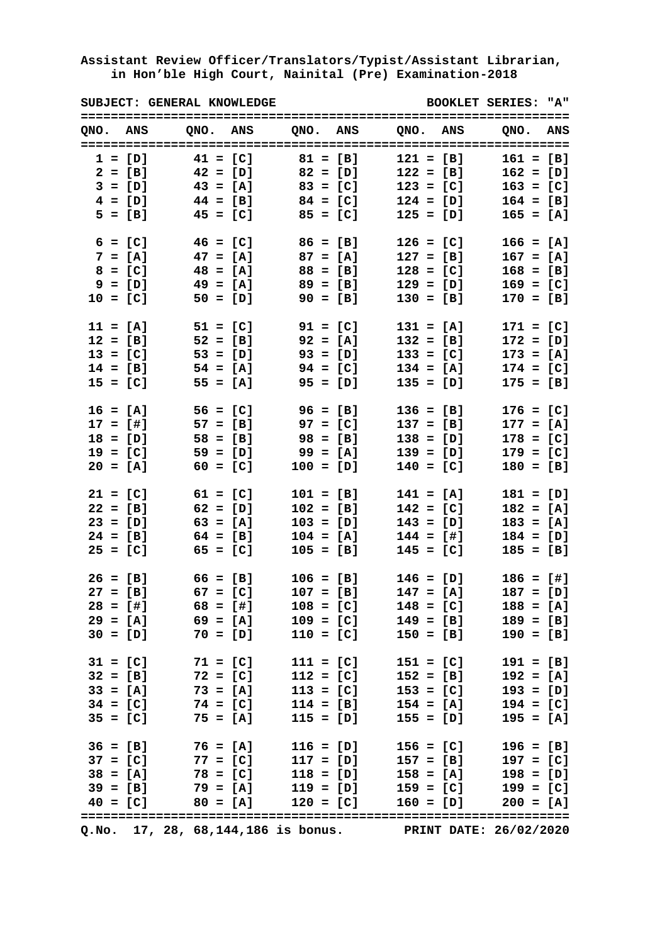|            | SUBJECT: GENERAL KNOWLEDGE        |            |            |                       |            |                                | <b>BOOKLET SERIES: "A"</b>                                                                         |  |
|------------|-----------------------------------|------------|------------|-----------------------|------------|--------------------------------|----------------------------------------------------------------------------------------------------|--|
| QNO. ANS   |                                   |            |            |                       |            |                                | QNO. ANS QNO. ANS QNO. ANS QNO. ANS                                                                |  |
| $1 = [D]$  |                                   | $41 = [C]$ |            | $81 = [B]$            |            | $121 = [B]$                    | $161 = [B]$                                                                                        |  |
|            | $2 = [B]$                         |            | $42 = [D]$ | $82 = [D]$            |            | $122 = [B]$                    | $162 = [D]$                                                                                        |  |
|            | $3 = [D]$ $43 = [A]$ $83 = [C]$   |            |            |                       |            | $123 = [C]$                    | $163 = [C]$                                                                                        |  |
|            | $4 = [D]$ $44 = [B]$ $84 = [C]$   |            |            |                       |            | $124 = [D]$                    | $164 = [B]$                                                                                        |  |
|            | $5 = [B]$ $45 = [C]$ $85 = [C]$   |            |            |                       |            | $125 = [D]$                    | $165 = [A]$                                                                                        |  |
| $6 = [C]$  |                                   |            |            | $46 = [C]$ $86 = [B]$ |            | $126 = [C]$                    | $166 = [A]$                                                                                        |  |
| $7 = [A]$  |                                   |            |            | $47 = [A]$ $87 = [A]$ |            | $127 = [B]$                    | $167 = [A]$                                                                                        |  |
| $8 = [C]$  |                                   |            |            | $48 = [A]$ $88 = [B]$ |            | $128 = [C]$                    | $168 = [B]$                                                                                        |  |
| $9 = [D]$  |                                   | $49 = [A]$ |            | $89 = [B]$            |            | $129 = [D]$                    | $169 = [C]$                                                                                        |  |
| $10 = [C]$ |                                   | $50 = [D]$ |            |                       | $90 = [B]$ | $130 = [B]$                    | $170 = [B]$                                                                                        |  |
| $11 = [A]$ |                                   | $51 = [C]$ |            | $91 = [C]$            |            | $131 = [A]$                    | $171 = [C]$                                                                                        |  |
| $12 = [B]$ |                                   | $52 = [B]$ |            | $92 = [A]$            |            | $132 = [B]$                    | $172 = [D]$                                                                                        |  |
| $13 = [C]$ |                                   | $53 = [D]$ |            |                       | $93 = [D]$ | $133 = [C]$                    | $173 = [A]$                                                                                        |  |
| $14 = [B]$ |                                   | $54 = [A]$ |            |                       | $94 = [C]$ | $134 = [A]$                    | $174 = [C]$                                                                                        |  |
| $15 = [C]$ |                                   | $55 = [A]$ |            |                       | $95 = [D]$ | $135 = [D]$                    | $175 = [B]$                                                                                        |  |
| $16 = [A]$ |                                   | $56 = [C]$ |            | $96 = [B]$            |            | $136 = [B]$                    | $176 = [C]$                                                                                        |  |
| $17 = [1]$ |                                   |            |            | $57 = [B]$ 97 = [C]   |            | $137 = [B]$                    | $177 = [A]$                                                                                        |  |
| $18 = [D]$ |                                   | $58 = [B]$ |            | $98 = [B]$            |            | $138 = [D]$                    | $178 = [C]$                                                                                        |  |
| $19 = [C]$ |                                   |            | $59 = [D]$ | 99 = [A]              |            | $139 = [D]$                    | $179 = [C]$                                                                                        |  |
| $20 = [A]$ |                                   |            | $60 = [C]$ | $100 = [D]$           |            | $140 = [C]$                    | $180 = [B]$                                                                                        |  |
| $21 = [C]$ |                                   | $61 = [C]$ |            | $101 = [B]$           |            | $141 = [A]$                    | $181 = [D]$                                                                                        |  |
| $22 = [B]$ |                                   | $62 = [D]$ |            | $102 = [B]$           |            | $142 = [C]$                    | $182 = [A]$                                                                                        |  |
| $23 = [D]$ |                                   | $63 = [A]$ |            | $103 = [D]$           |            | $143 = [D]$                    | $183 = [A]$                                                                                        |  |
| $24 = [B]$ |                                   |            | $64 = [B]$ | $104 = [A]$           |            | $144 = [1]$                    | $184 = [D]$                                                                                        |  |
| $25 = [C]$ |                                   |            | $65 = [C]$ | $105 = [B]$           |            | $145 = [C]$                    | $185 = [B]$                                                                                        |  |
|            | $26 = [B]$ $66 = [B]$ $106 = [B]$ |            |            |                       |            | $146 = [D]$                    | $186 = [1]$                                                                                        |  |
|            |                                   |            |            |                       |            |                                | $27 = [B]$ 67 = [C] 107 = [B] 147 = [A] 187 = [D]                                                  |  |
|            |                                   |            |            |                       |            |                                | $28 = [4]$ 68 = [#] 108 = [C] 148 = [C] 188 = [A]                                                  |  |
|            |                                   |            |            |                       |            |                                | $29 = [A]$ 69 = [A] 109 = [C] 149 = [B] 189 = [B]                                                  |  |
|            |                                   |            |            |                       |            |                                | $30 = [D]$ 70 = [D] 110 = [C] 150 = [B] 190 = [B]                                                  |  |
|            |                                   |            |            |                       |            |                                | 31 = [C] 71 = [C] 111 = [C] 151 = [C] 191 = [B]<br>32 = [B] 72 = [C] 112 = [C] 152 = [B] 192 = [A] |  |
|            |                                   |            |            |                       |            |                                |                                                                                                    |  |
|            | $33 = [A]$                        |            |            |                       |            | $73 = [A]$ 113 = [C] 153 = [C] | $193 = [D]$                                                                                        |  |
|            |                                   |            |            |                       |            |                                | $34 = [C]$ 74 = [C] 114 = [B] 154 = [A] 194 = [C]                                                  |  |
|            | $35 = [C]$ 75 = [A] 115 = [D]     |            |            |                       |            | $155 = [D]$                    | $195 = [A]$                                                                                        |  |
|            |                                   |            |            |                       |            |                                | $36 = [B]$ 76 = [A] 116 = [D] 156 = [C] 196 = [B]                                                  |  |
|            |                                   |            |            |                       |            |                                | $37 = [C]$ $77 = [C]$ $117 = [D]$ $157 = [B]$ $197 = [C]$                                          |  |
|            |                                   |            |            |                       |            |                                | $38 = [A]$ 78 = [C] 118 = [D] 158 = [A] 198 = [D]                                                  |  |
|            |                                   |            |            |                       |            |                                | $39 = [B]$ $79 = [A]$ $119 = [D]$ $159 = [C]$ $199 = [C]$                                          |  |
|            |                                   |            |            |                       |            |                                | $40 = [C]$ $80 = [A]$ $120 = [C]$ $160 = [D]$ $200 = [A]$                                          |  |
|            |                                   |            |            |                       |            |                                | Q.No. 17, 28, 68, 144, 186 is bonus. PRINT DATE: 26/02/2020                                        |  |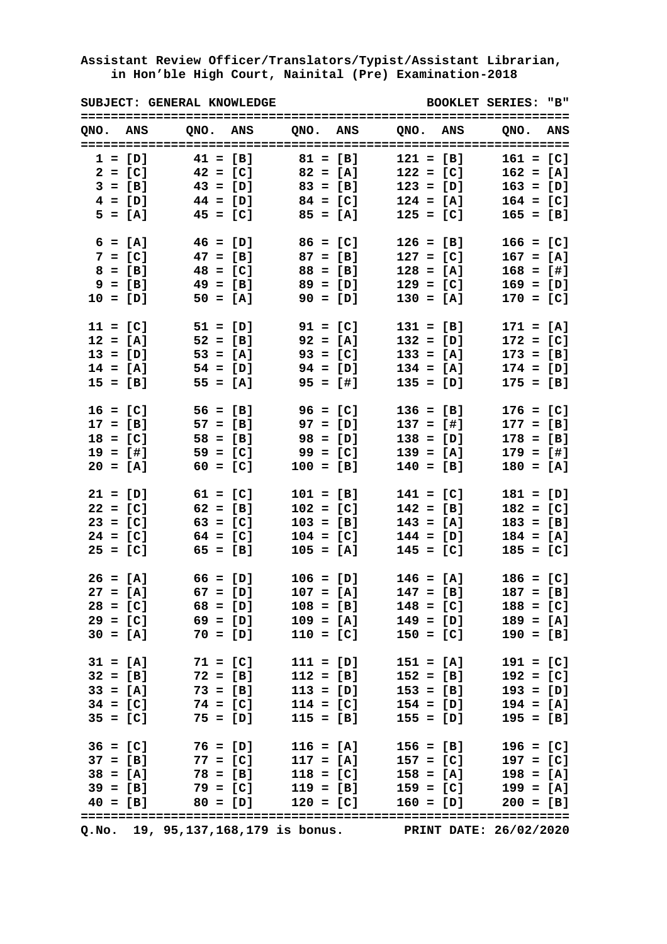|            | SUBJECT: GENERAL KNOWLEDGE      |                       |            |             |                                                                                                                                                                                                                                                  |             | <b>BOOKLET SERIES: "B"</b> |  |
|------------|---------------------------------|-----------------------|------------|-------------|--------------------------------------------------------------------------------------------------------------------------------------------------------------------------------------------------------------------------------------------------|-------------|----------------------------|--|
| QNO. ANS   |                                 |                       |            |             | QNO. ANS QNO. ANS QNO. ANS QNO. ANS                                                                                                                                                                                                              |             |                            |  |
| $1 = [D]$  |                                 | $41 = [B]$            | $81 = [B]$ |             |                                                                                                                                                                                                                                                  | $121 = [B]$ | $161 = [C]$                |  |
| $2 = [C]$  |                                 | $42 = [C]$            | $82 = [A]$ |             |                                                                                                                                                                                                                                                  | $122 = [C]$ | $162 = [A]$                |  |
| $3 = [B]$  |                                 | $43 = [D]$            | $83 = [B]$ |             |                                                                                                                                                                                                                                                  | $123 = [D]$ | $163 = [D]$                |  |
| $4 = [D]$  |                                 | $44 = [D]$ $84 = [C]$ |            |             |                                                                                                                                                                                                                                                  | $124 = [A]$ | $164 = [C]$                |  |
|            | $5 = [A]$ $45 = [C]$ $85 = [A]$ |                       |            |             |                                                                                                                                                                                                                                                  | $125 = [C]$ | $165 = [B]$                |  |
| $6 = [A]$  | $46 = [D]$ $86 = [C]$           |                       |            |             |                                                                                                                                                                                                                                                  | $126 = [B]$ | $166 = [C]$                |  |
|            | $7 = [C]$ 47 = [B] 87 = [B]     |                       |            |             |                                                                                                                                                                                                                                                  | $127 = [C]$ | $167 = [A]$                |  |
| $8 = [B]$  | $48 = [C]$ $88 = [B]$           |                       |            |             |                                                                                                                                                                                                                                                  | $128 = [A]$ | $168 = [4]$                |  |
| $9 = [B]$  | $49 = [B]$                      |                       | $89 = [D]$ |             |                                                                                                                                                                                                                                                  | $129 = [C]$ | $169 = [D]$                |  |
| $10 = [D]$ |                                 | $50 = [A]$            |            | $90 = [D]$  |                                                                                                                                                                                                                                                  | $130 = [A]$ | $170 = [C]$                |  |
| $11 = [C]$ | $51 = [D]$                      |                       |            | $91 = [C]$  | $131 = [B]$                                                                                                                                                                                                                                      |             | $171 = [A]$                |  |
| $12 = [A]$ |                                 | $52 = [B]$            |            | $92 = [A]$  |                                                                                                                                                                                                                                                  | $132 = [D]$ | $172 = [C]$                |  |
| $13 = [D]$ |                                 | $53 = [A]$            |            | $93 = [C]$  |                                                                                                                                                                                                                                                  | $133 = [A]$ | $173 = [B]$                |  |
| $14 = [A]$ |                                 | $54 = [D]$            |            | $94 = [D]$  |                                                                                                                                                                                                                                                  | $134 = [A]$ | $174 = [D]$                |  |
| $15 = [B]$ |                                 | $55 = [A]$            |            | $95 = [1]$  | $135 = [D]$                                                                                                                                                                                                                                      |             | $175 = [B]$                |  |
| $16 = [C]$ | $56 = [B]$                      |                       | $96 = [C]$ |             |                                                                                                                                                                                                                                                  | $136 = [B]$ | $176 = [C]$                |  |
| $17 = [B]$ | $57 = [B]$                      |                       | $97 = [D]$ |             |                                                                                                                                                                                                                                                  | $137 = [1]$ | $177 = [B]$                |  |
| $18 = [C]$ | $58 = [B]$                      |                       | $98 = [D]$ |             |                                                                                                                                                                                                                                                  | $138 = [D]$ | $178 = [B]$                |  |
| $19 = [1]$ |                                 | $59 = [C]$ 99 = [C]   |            |             |                                                                                                                                                                                                                                                  | $139 = [A]$ | $179 = [1]$                |  |
| $20 = [A]$ |                                 | $60 = [C]$            |            | $100 = [B]$ |                                                                                                                                                                                                                                                  | $140 = [B]$ | $180 = [A]$                |  |
| $21 = [D]$ | $61 = [C]$                      |                       |            | $101 = [B]$ |                                                                                                                                                                                                                                                  | $141 = [C]$ | $181 = [D]$                |  |
| $22 = [C]$ |                                 | $62 = [B]$            |            | $102 = [C]$ |                                                                                                                                                                                                                                                  | $142 = [B]$ | $182 = [C]$                |  |
| $23 = [C]$ |                                 | $63 = [C]$            |            | $103 = [B]$ |                                                                                                                                                                                                                                                  | $143 = [A]$ | $183 = [B]$                |  |
| $24 = [C]$ |                                 | $64 = [C]$            |            | $104 = [C]$ |                                                                                                                                                                                                                                                  | $144 = [D]$ | $184 = [A]$                |  |
| $25 = [C]$ |                                 | $65 = [B]$            |            | $105 = [A]$ |                                                                                                                                                                                                                                                  | $145 = [C]$ | $185 = [C]$                |  |
|            | $26 = [A]$ $66 = [D]$           |                       |            | $106 = [D]$ |                                                                                                                                                                                                                                                  | $146 = [A]$ | $186 = [C]$                |  |
|            | $27 = [A]$ 67 = [D]             |                       |            |             | $107 = [A]$ $147 = [B]$                                                                                                                                                                                                                          |             | $187 = [B]$                |  |
|            |                                 |                       |            |             | $28 = [C]$ 68 = [D] 108 = [B] 148 = [C] 188 = [C]                                                                                                                                                                                                |             |                            |  |
|            |                                 |                       |            |             | $29 = [C]$ 69 = [D] 109 = [A] 149 = [D] 189 = [A]                                                                                                                                                                                                |             |                            |  |
|            |                                 |                       |            |             | $30 = [A]$ 70 = [D] 110 = [C] 150 = [C] 190 = [B]                                                                                                                                                                                                |             |                            |  |
|            |                                 |                       |            |             | $31 = [A]$ $71 = [C]$ $111 = [D]$ $151 = [A]$ $191 = [C]$                                                                                                                                                                                        |             |                            |  |
|            |                                 |                       |            |             |                                                                                                                                                                                                                                                  |             |                            |  |
|            |                                 |                       |            |             |                                                                                                                                                                                                                                                  |             |                            |  |
|            |                                 |                       |            |             |                                                                                                                                                                                                                                                  |             |                            |  |
|            |                                 |                       |            |             | $32 = [B]$ $72 = [B]$ $112 = [B]$ $152 = [B]$ $192 = [C]$<br>$33 = [A]$ $73 = [B]$ $113 = [D]$ $153 = [B]$ $193 = [D]$<br>$34 = [C]$ $74 = [C]$ $114 = [C]$ $154 = [D]$ $194 = [A]$<br>$35 = [C]$ $75 = [D]$ $115 = [B]$ $155 = [D]$ $195 = [B]$ |             |                            |  |
|            |                                 |                       |            |             | $36 = [C]$ 76 = [D] 116 = [A] 156 = [B] 196 = [C]                                                                                                                                                                                                |             |                            |  |
|            |                                 |                       |            |             | $37 = [B]$ $77 = [C]$ $117 = [A]$ $157 = [C]$ $197 = [C]$                                                                                                                                                                                        |             |                            |  |
|            |                                 |                       |            |             | $38 = [A]$ 78 = [B] 118 = [C] 158 = [A] 198 = [A]                                                                                                                                                                                                |             |                            |  |
|            |                                 |                       |            |             | $39 = [B]$ 79 = [C] 119 = [B] 159 = [C] 199 = [A]                                                                                                                                                                                                |             |                            |  |
|            |                                 |                       |            |             | $40 = [B]$ $80 = [D]$ $120 = [C]$ $160 = [D]$ $200 = [B]$                                                                                                                                                                                        |             |                            |  |
|            |                                 |                       |            |             | Q.No. 19, 95,137,168,179 is bonus. PRINT DATE: 26/02/2020                                                                                                                                                                                        |             |                            |  |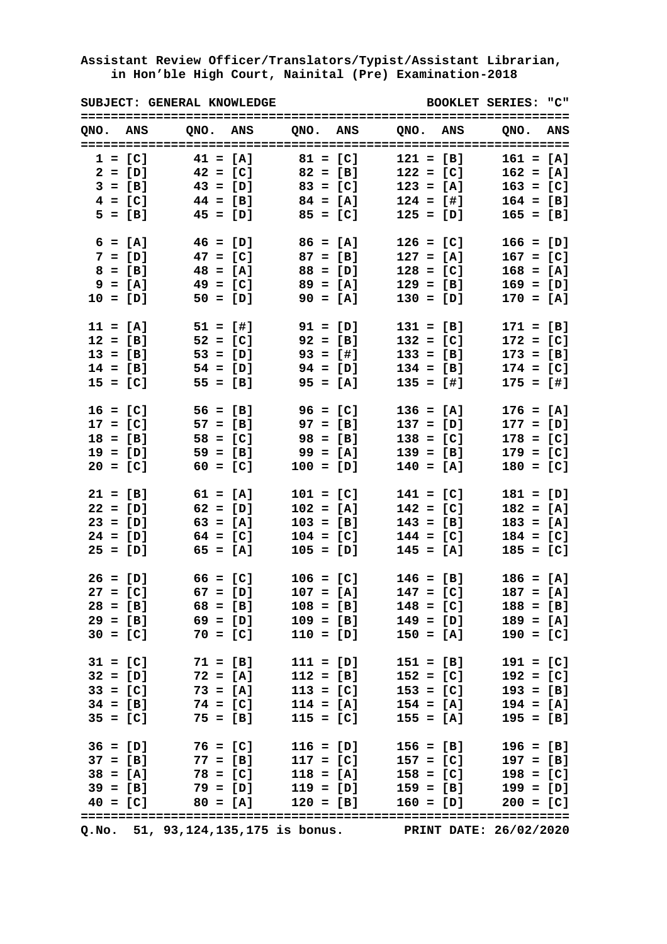|            |           | SUBJECT: GENERAL KNOWLEDGE        |                     |            |             |                                         | BOOKLET SERIES: "C"                                                                                                                                   |  |
|------------|-----------|-----------------------------------|---------------------|------------|-------------|-----------------------------------------|-------------------------------------------------------------------------------------------------------------------------------------------------------|--|
| QNO. ANS   |           |                                   |                     |            |             |                                         | QNO. ANS QNO. ANS QNO. ANS QNO. ANS                                                                                                                   |  |
| $1 = [C]$  |           |                                   | $41 = [A]$          |            | $81 = [C]$  | $121 = [B]$                             | $161 = [A]$                                                                                                                                           |  |
|            | $2 = [D]$ |                                   | $42 = [C]$          | $82 = [B]$ |             | $122 = [C]$                             | $162 = [A]$                                                                                                                                           |  |
|            |           | $3 = [B]$ $43 = [D]$ $83 = [C]$   |                     |            |             | $123 = [A]$                             | $163 = [C]$                                                                                                                                           |  |
|            |           | $4 = [C]$ $44 = [B]$ $84 = [A]$   |                     |            |             | $124 = [1]$                             | $164 = [B]$                                                                                                                                           |  |
|            |           | $5 = [B]$ $45 = [D]$ $85 = [C]$   |                     |            |             | $125 = [D]$                             | $165 = [B]$                                                                                                                                           |  |
| $6 = [A]$  |           | $46 = [D]$ $86 = [A]$             |                     |            |             | $126 = [C]$                             | $166 = [D]$                                                                                                                                           |  |
| $7 = [D]$  |           | $47 = [C]$ $87 = [B]$             |                     |            |             | $127 = [A]$                             | $167 = [C]$                                                                                                                                           |  |
| $8 = [B]$  |           | $48 = [A]$ $88 = [D]$             |                     |            |             | $128 = [C]$                             | $168 = [A]$                                                                                                                                           |  |
| $9 = [A]$  |           | $49 = [C]$                        |                     | $89 = [A]$ |             | $129 = [B]$                             | $169 = [D]$                                                                                                                                           |  |
| $10 = [D]$ |           | $50 = [D]$                        |                     |            | $90 = [A]$  | $130 = [D]$                             | $170 = [A]$                                                                                                                                           |  |
| $11 = [A]$ |           | 51 = [#]                          |                     |            | $91 = [D]$  | $131 = [B]$                             | $171 = [B]$                                                                                                                                           |  |
| $12 = [B]$ |           | $52 = [C]$                        |                     |            | $92 = [B]$  | $132 = [C]$                             | $172 = [C]$                                                                                                                                           |  |
| $13 = [B]$ |           | $53 = [D]$                        |                     |            | $93 = [1]$  | $133 = [B]$                             | $173 = [B]$                                                                                                                                           |  |
| $14 = [B]$ |           | $54 = [D]$                        |                     | $94 = [D]$ |             | $134 = [B]$                             | $174 = [C]$                                                                                                                                           |  |
| $15 = [C]$ |           | $55 = [B]$                        |                     |            | $95 = [A]$  | $135 = [1]$                             | $175 = [1]$                                                                                                                                           |  |
| $16 = [C]$ |           | $56 = [B]$                        |                     | $96 = [C]$ |             | $136 = [A]$                             | $176 = [A]$                                                                                                                                           |  |
| $17 = [C]$ |           | $57 = [B]$ 97 = [B]               |                     |            |             | $137 = [D]$                             | $177 = [D]$                                                                                                                                           |  |
| $18 = [B]$ |           |                                   | $58 = [C]$ 98 = [B] |            |             | $138 = [C]$                             | $178 = [C]$                                                                                                                                           |  |
| $19 = [D]$ |           |                                   | $59 = [B]$          | $99 = [A]$ |             | $139 = [B]$                             | $179 = [C]$                                                                                                                                           |  |
| $20 = [C]$ |           |                                   | $60 = [C]$          |            | $100 = [D]$ | $140 = [A]$                             | $180 = [C]$                                                                                                                                           |  |
| $21 = [B]$ |           | $61 = [A]$                        |                     |            | $101 = [C]$ | $141 = [C]$                             | $181 = [D]$                                                                                                                                           |  |
| $22 = [D]$ |           | $62 = [D]$                        |                     |            | $102 = [A]$ | $142 = [C]$                             | $182 = [A]$                                                                                                                                           |  |
| $23 = [D]$ |           | $63 = [A]$                        |                     |            | $103 = [B]$ | $143 = [B]$                             | $183 = [A]$                                                                                                                                           |  |
| $24 = [D]$ |           |                                   | $64 = [C]$          |            | $104 = [C]$ | $144 = [C]$                             | $184 = [C]$                                                                                                                                           |  |
| $25 = [D]$ |           | $65 = [A]$                        |                     |            | $105 = [D]$ | $145 = [A]$                             | $185 = [C]$                                                                                                                                           |  |
|            |           | $26 = [D]$ $66 = [C]$ $106 = [C]$ |                     |            |             | $146 = [B]$                             | $186 = [A]$                                                                                                                                           |  |
|            |           |                                   |                     |            |             |                                         | $27 = [C]$ 67 = [D] 107 = [A] 147 = [C] 187 = [A]                                                                                                     |  |
|            |           |                                   |                     |            |             |                                         | $28 = [B]$ 68 = [B] 108 = [B] 148 = [C] 188 = [B]                                                                                                     |  |
|            |           |                                   |                     |            |             |                                         | $29 = [B]$ 69 = [D] 109 = [B] 149 = [D] 189 = [A]                                                                                                     |  |
|            |           |                                   |                     |            |             |                                         | $30 = [C]$ 70 = [C] 110 = [D] 150 = [A] 190 = [C]                                                                                                     |  |
|            |           |                                   |                     |            |             |                                         | 31 = [C] 71 = [B] 111 = [D] 151 = [B] 191 = [C]<br>32 = [D] 72 = [A] 112 = [B] 152 = [C] 192 = [C]<br>33 = [C] 73 = [A] 113 = [C] 153 = [C] 193 = [B] |  |
|            |           |                                   |                     |            |             |                                         |                                                                                                                                                       |  |
|            |           |                                   |                     |            |             |                                         |                                                                                                                                                       |  |
|            |           |                                   |                     |            |             |                                         | $34 = [B]$ 74 = [C] 114 = [A] 154 = [A] 194 = [A]                                                                                                     |  |
|            |           |                                   |                     |            |             | $35 = [C]$ 75 = [B] 115 = [C] 155 = [A] | $195 = [B]$                                                                                                                                           |  |
|            |           |                                   |                     |            |             |                                         | $36 = [D]$ 76 = [C] 116 = [D] 156 = [B] 196 = [B]                                                                                                     |  |
|            |           |                                   |                     |            |             |                                         | $37 = [B]$ $77 = [B]$ $117 = [C]$ $157 = [C]$ $197 = [B]$                                                                                             |  |
|            |           |                                   |                     |            |             |                                         | $38 = [A]$ 78 = [C] 118 = [A] 158 = [C] 198 = [C]                                                                                                     |  |
|            |           |                                   |                     |            |             |                                         | $39 = [B]$ $79 = [D]$ $119 = [D]$ $159 = [B]$ $199 = [D]$                                                                                             |  |
|            |           |                                   |                     |            |             |                                         | $40 = [C]$ $80 = [A]$ $120 = [B]$ $160 = [D]$ $200 = [C]$                                                                                             |  |
|            |           |                                   |                     |            |             |                                         | Q.No. 51, 93,124,135,175 is bonus. PRINT DATE: 26/02/2020                                                                                             |  |